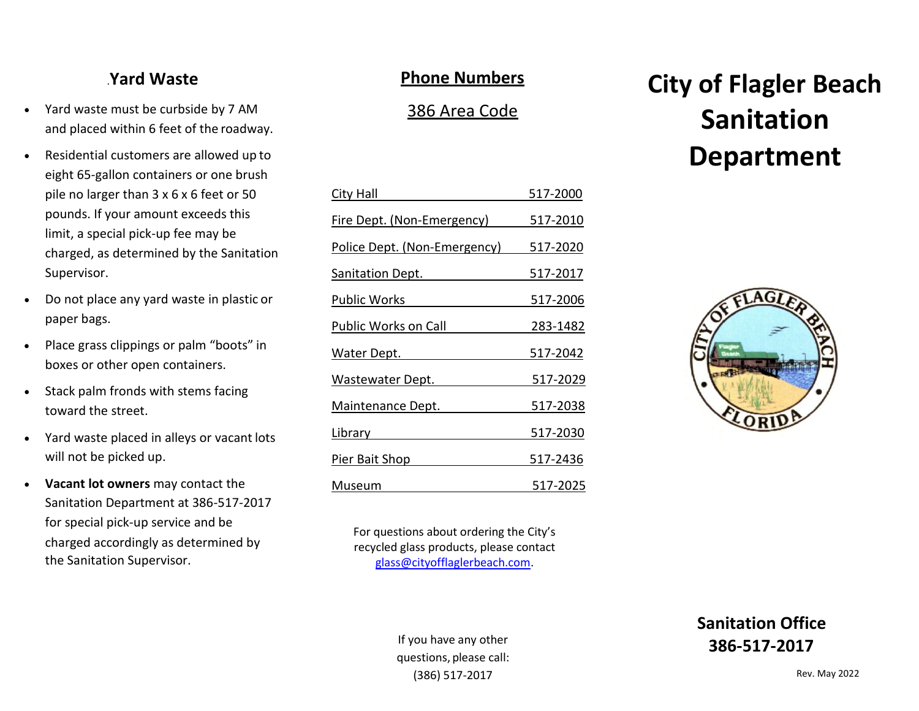# .**Yard Waste**

- Yard waste must be curbside by 7 AM and placed within 6 feet of the roadway.
- Residential customers are allowed up to eight 65-gallon containers or one brush pile no larger than 3 x 6 x 6 feet or 50 pounds. If your amount exceeds this limit, a special pick-up fee may be charged, as determined by the Sanitation Supervisor.
- Do not place any yard waste in plastic or paper bags.
- Place grass clippings or palm "boots" in boxes or other open containers.
- Stack palm fronds with stems facing toward the street.
- Yard waste placed in alleys or vacant lots will not be picked up.
- **Vacant lot owners** may contact the Sanitation Department at 386-517-2017 for special pick-up service and be charged accordingly as determined by the Sanitation Supervisor.

## **Phone Numbers**

## 386 Area Code

| <b>City Hall</b>             | 517-2000        |
|------------------------------|-----------------|
| Fire Dept. (Non-Emergency)   | 517-2010        |
| Police Dept. (Non-Emergency) | 517-2020        |
| <b>Sanitation Dept.</b>      | <u>517-2017</u> |
| <b>Public Works</b>          | 517-2006        |
| Public Works on Call         | <u>283-1482</u> |
| <u>Water Dept.</u>           | <u>517-2042</u> |
| Wastewater Dept.             | 517-2029        |
| Maintenance Dept.            | 517-2038        |
| <u>Library</u>               | 517-2030        |
| Pier Bait Shop               | 517-2436        |
| Museum                       | 517-2025        |

**City of Flagler Beach Sanitation Department**



For questions about ordering the City's recycled glass products, please contact [glass@cityofflaglerbeach.com.](mailto:glass@cityofflaglerbeach.com)

> If you have any other questions, please call: (386) 517-2017

**Sanitation Office 386-517-2017**